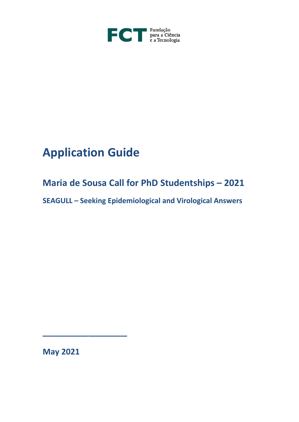

## **Application Guide**

### **Maria de Sousa Call for PhD Studentships – 2021**

**SEAGULL – Seeking Epidemiological and Virological Answers**

**May 2021**

\_\_\_\_\_\_\_\_\_\_\_\_\_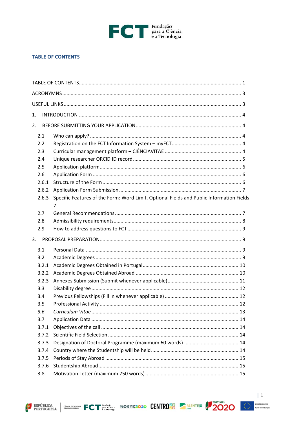

#### <span id="page-1-0"></span>**TABLE OF CONTENTS**

| 1.    |                                                                                          |  |  |
|-------|------------------------------------------------------------------------------------------|--|--|
| 2.    |                                                                                          |  |  |
| 2.1   |                                                                                          |  |  |
| 2.2   |                                                                                          |  |  |
| 2.3   |                                                                                          |  |  |
| 2.4   |                                                                                          |  |  |
| 2.5   |                                                                                          |  |  |
| 2.6   |                                                                                          |  |  |
| 2.6.1 |                                                                                          |  |  |
| 2.6.2 |                                                                                          |  |  |
| 2.6.3 | Specific Features of the Form: Word Limit, Optional Fields and Public Information Fields |  |  |
|       | 7                                                                                        |  |  |
| 2.7   |                                                                                          |  |  |
| 2.8   |                                                                                          |  |  |
| 2.9   |                                                                                          |  |  |
| 3.    |                                                                                          |  |  |
| 3.1   |                                                                                          |  |  |
| 3.2   |                                                                                          |  |  |
| 3.2.1 |                                                                                          |  |  |
| 3.2.2 |                                                                                          |  |  |
| 3.2.3 |                                                                                          |  |  |
| 3.3   |                                                                                          |  |  |
| 3.4   |                                                                                          |  |  |
| 3.5   | $\ldots$ 12                                                                              |  |  |
| 3.6   |                                                                                          |  |  |
| 3.7   |                                                                                          |  |  |
| 3.7.1 |                                                                                          |  |  |
| 3.7.2 |                                                                                          |  |  |
| 3.7.3 |                                                                                          |  |  |
| 3.7.4 |                                                                                          |  |  |
| 3.7.5 |                                                                                          |  |  |
| 3.7.6 |                                                                                          |  |  |
| 3.8   |                                                                                          |  |  |





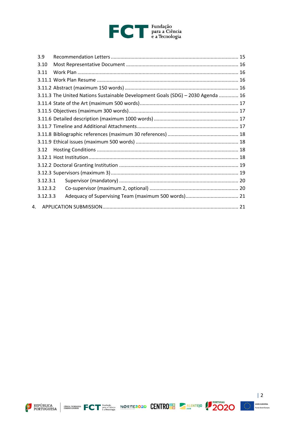# FCT Fundação<br>
e a Tecnologia

|    | 3.9      |                                                                                 |  |
|----|----------|---------------------------------------------------------------------------------|--|
|    | 3.10     |                                                                                 |  |
|    | 3.11     |                                                                                 |  |
|    |          |                                                                                 |  |
|    |          |                                                                                 |  |
|    |          | 3.11.3 The United Nations Sustainable Development Goals (SDG) - 2030 Agenda  16 |  |
|    |          |                                                                                 |  |
|    |          |                                                                                 |  |
|    |          |                                                                                 |  |
|    |          |                                                                                 |  |
|    |          |                                                                                 |  |
|    |          |                                                                                 |  |
|    | 3.12     |                                                                                 |  |
|    |          |                                                                                 |  |
|    |          |                                                                                 |  |
|    |          |                                                                                 |  |
|    | 3.12.3.1 |                                                                                 |  |
|    | 3.12.3.2 |                                                                                 |  |
|    | 3.12.3.3 |                                                                                 |  |
| 4. |          |                                                                                 |  |







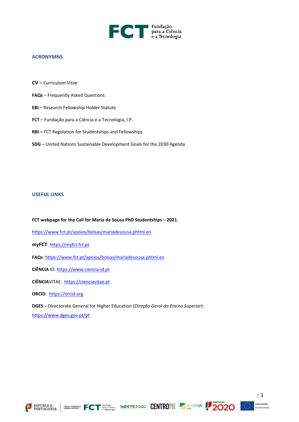

#### <span id="page-3-0"></span>**ACRONYMNS**

- **CV** *Curriculum Vitae*
- **FAQs** Frequently Asked Questions
- **EBI** Research Fellowship Holder Statute
- **FCT** Fundação para a Ciência e a Tecnologia, I.P.
- **RBI –** FCT Regulation for Studentships and Fellowships
- **SDG** United Nations Sustainable Development Goals for the 2030 Agenda

#### <span id="page-3-1"></span>**USEFUL LINKS**

**FCT webpage for the Call for Maria de Sousa PhD Studentships – 2021**:

<https://www.fct.pt/apoios/bolsas/mariadesousa.phtml.en>

- *my***FCT**: [https://myfct.fct.pt](https://myfct.fct.pt/)
- **FAQs**: <https://www.fct.pt/apoios/bolsas/mariadesousa.phtml.en>
- **CIÊNCIA** ID: [https://www.ciencia-id.pt](https://www.ciencia-id.pt/)

**CIÊNCIA**VITAE: [https://cienciavitae.pt](https://cienciavitae.pt/)

- **ORCID**: [https://orcid.org](https://orcid.org/)
- **DGES** Directorate General for Higher Education (*Direção Geral do Ensino Superior*):

<https://www.dges.gov.pt/pt>









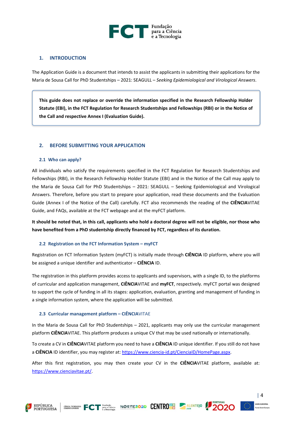

#### <span id="page-4-0"></span>**1. INTRODUCTION**

The Application Guide is a document that intends to assist the applicants in submitting their applications for the Maria de Sousa Call for PhD Studentships – 2021: SEAGULL – *Seeking Epidemiological and Virological Answers*.

**This guide does not replace or override the information specified in the Research Fellowship Holder Statute (EBI), in the FCT Regulation for Research Studentships and Fellowships (RBI) or in the Notice of the Call and respective Annex I (Evaluation Guide).** 

#### <span id="page-4-1"></span>**2. BEFORE SUBMITTING YOUR APPLICATION**

#### <span id="page-4-2"></span>**2.1 Who can apply?**

All individuals who satisfy the requirements specified in the FCT Regulation for Research Studentships and Fellowships (RBI), in the Research Fellowship Holder Statute (EBI) and in the Notice of the Call may apply to the Maria de Sousa Call for PhD Studentships – 2021: SEAGULL – Seeking Epidemiological and Virological Answers. Therefore, before you start to prepare your application, read these documents and the Evaluation Guide (Annex I of the Notice of the Call) carefully. FCT also recommends the reading of the **CIÊNCIA**VITAE Guide, and FAQs, available at the FCT webpage and at the myFCT platform.

**It should be noted that, in this call, applicants who hold a doctoral degree will not be eligible, nor those who have benefited from a PhD studentship directly financed by FCT, regardless of its duration.**

#### <span id="page-4-3"></span>**2.2 Registration on the FCT Information System – myFCT**

Registration on FCT Information System (myFCT) is initially made through **CIÊNCIA** ID platform, where you will be assigned a unique identifier and authenticator – **CIÊNCIA** ID.

The registration in this platform provides access to applicants and supervisors, with a single ID, to the platforms of curricular and application management, **CIÊNCIA**VITAE and **myFCT**, respectively. myFCT portal was designed to support the cycle of funding in all its stages: application, evaluation, granting and management of funding in a single information system, where the application will be submitted.

#### <span id="page-4-4"></span>**2.3 Curricular management platform – CIÊNCIA**VITAE

In the Maria de Sousa Call for PhD Studentships – 2021, applicants may only use the curricular management platform **CIÊNCIA**VITAE. This platform produces a unique CV that may be used nationally or internationally.

To create a CV in **CIÊNCIA**VITAE platform you need to have a **CIÊNCIA** ID unique identifier. If you still do not have a **CIÊNCIA** ID identifier, you may register at: [https://www.ciencia-id.pt/CienciaID/HomePage.aspx.](https://www.ciencia-id.pt/CienciaID/HomePage.aspx)

After this first registration, you may then create your CV in the **CIÊNCIA**VITAE platform, available at: [https://www.cienciavitae.pt/.](https://www.cienciavitae.pt/)

CHINERATE PRODUCED FOR PLANSING MORTE 2020 CENTRO 20 ALENTEJO



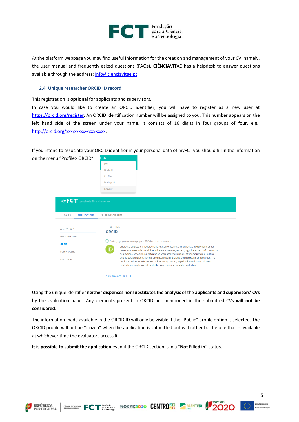

At the platform webpage you may find useful information for the creation and management of your CV, namely, the user manual and frequently asked questions (FAQs). **CIÊNCIA**VITAE has a helpdesk to answer questions available through the address: [info@cienciavitae.pt.](mailto:info@cienciavitae.pt)

#### <span id="page-5-0"></span>**2.4 Unique researcher ORCID ID record**

This registration is **optional** for applicants and supervisors.

 $\mathbf{A}$ 

In case you would like to create an ORCID identifier, you will have to register as a new user at [https://orcid.org/register.](https://orcid.org/register) An ORCID identification number will be assigned to you. This number appears on the left hand side of the screen under your name. It consists of 16 digits in four groups of four, e.g., [http://orcid.org/xxxx-xxxx-xxxx-xxxx.](http://orcid.org/xxxx-xxxx-xxxx-xxxx)

If you intend to associate your ORCID identifier in your personal data of myFCT you should fill in the information

on the menu "Profile> ORCID".



Using the unique identifier **neither dispenses nor substitutesthe analysis** of the **applicants and supervisors' CVs** by the evaluation panel. Any elements present in ORCID not mentioned in the submitted CVs **will not be considered**.

The information made available in the ORCID ID will only be visible if the "Public" profile option is selected. The ORCID profile will not be "frozen" when the application is submitted but will rather be the one that is available at whichever time the evaluators access it.

**It is possible to submit the application** even if the ORCID section is in a "**Not Filled in**" status.









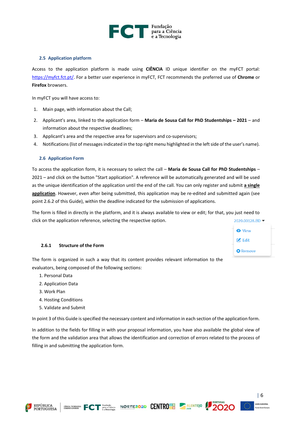

#### <span id="page-6-0"></span>**2.5 Application platform**

Access to the application platform is made using **CIÊNCIA** ID unique identifier on the myFCT portal: [https://myfct.fct.pt/.](https://myfct.fct.pt/) For a better user experience in myFCT, FCT recommends the preferred use of **Chrome** or **Firefox** browsers.

In myFCT you will have access to:

- 1. Main page, with information about the Call;
- 2. Applicant's area, linked to the application form **Maria de Sousa Call for PhD Studentships – 2021**  and information about the respective deadlines;
- 3. Applicant's area and the respective area for supervisors and co-supervisors;
- <span id="page-6-1"></span>4. Notifications (list of messages indicated in the top right menu highlighted in the left side of the user's name).

#### **2.6 Application Form**

To access the application form, it is necessary to select the call – **Maria de Sousa Call for PhD Studentships** – 2021 – and click on the button "Start application". A reference will be automatically generated and will be used as the unique identification of the application until the end of the call. You can only register and submit **a single application**. However, even after being submitted, this application may be re-edited and submitted again (see point 2.6.2 of this Guide), within the deadline indicated for the submission of applications.

The form is filled in directly in the platform, and it is always available to view or edit; for that, you just need to click on the application reference, selecting the respective option. 2020.00128.BD -

#### <span id="page-6-2"></span>**2.6.1 Structure of the Form**

The form is organized in such a way that its content provides relevant information to the evaluators, being composed of the following sections:

- 1. Personal Data
- 2. Application Data
- 3. Work Plan
- 4. Hosting Conditions
- 5. Validate and Submit

In point 3 of this Guide is specified the necessary content and information in each section of the application form.

In addition to the fields for filling in with your proposal information, you have also available the global view of the form and the validation area that allows the identification and correction of errors related to the process of filling in and submitting the application form.











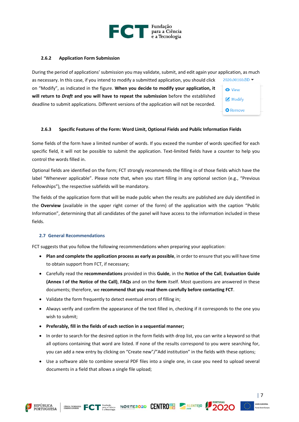

#### <span id="page-7-0"></span>**2.6.2 Application Form Submission**

During the period of applications' submission you may validate, submit, and edit again your application, as much as necessary. In this case, if you intend to modify a submitted application, you should click on "Modify", as indicated in the figure. **When you decide to modify your application, it** 

**will return to** *Draft* **and you will have to repeat the submission** before the established deadline to submit applications. Different versions of the application will not be recorded.

| pplication, as much                       |  |  |
|-------------------------------------------|--|--|
| 2020.00160.BD<br>$\overline{\phantom{a}}$ |  |  |
| <b>O</b> View                             |  |  |
| $\blacksquare$ Modify                     |  |  |
| <b>B</b> Remove                           |  |  |

#### <span id="page-7-1"></span>**2.6.3 Specific Features of the Form: Word Limit, Optional Fields and Public Information Fields**

Some fields of the form have a limited number of words. If you exceed the number of words specified for each specific field, it will not be possible to submit the application. Text-limited fields have a counter to help you control the words filled in.

Optional fields are identified on the form; FCT strongly recommends the filling in of those fields which have the label "Whenever applicable". Please note that, when you start filling in any optional section (e.g., "Previous Fellowships"), the respective subfields will be mandatory.

The fields of the application form that will be made public when the results are published are duly identified in the **Overview** (available in the upper right corner of the form) of the application with the caption "Public Information", determining that all candidates of the panel will have access to the information included in these fields.

#### <span id="page-7-2"></span>**2.7 General Recommendations**

FCT suggests that you follow the following recommendations when preparing your application:

- **Plan and complete the application process as early as possible**, in order to ensure that you will have time to obtain support from FCT, if necessary;
- Carefully read the **recommendations** provided in this **Guide**, in the **Notice of the Call**, **Evaluation Guide (Annex I of the Notice of the Call)**, **FAQs** and on the **form** itself. Most questions are answered in these documents; therefore, we **recommend that you read them carefully before contacting FCT**.
- Validate the form frequently to detect eventual errors of filling in;
- Always verify and confirm the appearance of the text filled in, checking if it corresponds to the one you wish to submit;
- **Preferably, fill in the fields of each section in a sequential manner;**
- In order to search for the desired option in the form fields with drop list, you can write a keyword so that all options containing that word are listed. If none of the results correspond to you were searching for, you can add a new entry by clicking on "Create new"/"Add institution" in the fields with these options;
- Use a software able to combine several PDF files into a single one, in case you need to upload several documents in a field that allows a single file upload;







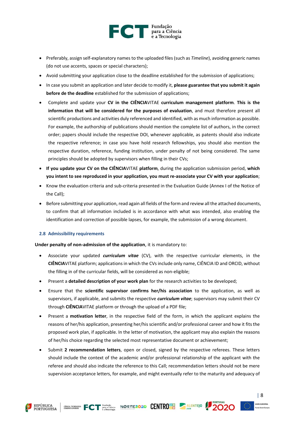

- Preferably, assign self-explanatory names to the uploaded files (such as *Timeline*), avoiding generic names (do not use accents, spaces or special characters);
- Avoid submitting your application close to the deadline established for the submission of applications;
- In case you submit an application and later decide to modify it, **please guarantee that you submit it again before de the deadline** established for the submission of applications:
- Complete and update your **CV in the CIÊNCIA**VITAE **curriculum management platform**. **This is the information that will be considered for the purposes of evaluation**, and must therefore present all scientific productions and activities duly referenced and identified, with as much information as possible. For example, the authorship of publications should mention the complete list of authors, in the correct order; papers should include the respective DOI, whenever applicable, as patents should also indicate the respective reference; in case you have hold research fellowships, you should also mention the respective duration, reference, funding institution, under penalty of not being considered. The same principles should be adopted by supervisors when filling in their CVs;
- **If you update your CV on the CIÊNCIA**VITAE **platform**, during the application submission period, **which you intent to see reproduced in your application, you must re-associate your CV with your application**;
- Know the evaluation criteria and sub-criteria presented in the Evaluation Guide (Annex I of the Notice of the Call);
- Before submitting your application, read again all fields of the form and review all the attached documents, to confirm that all information included is in accordance with what was intended, also enabling the identification and correction of possible lapses, for example, the submission of a wrong document.

#### <span id="page-8-0"></span>**2.8 Admissibility requirements**

#### **Under penalty of non-admission of the application**, it is mandatory to:

- Associate your updated *curriculum vitae* (CV), with the respective curricular elements, in the **CIÊNCIA**VITAE platform; applications in which the CVs include only name, CIÊNCIA ID and ORCID, without the filling in of the curricular fields, will be considered as non-eligible;
- Present a **detailed description of your work plan** for the research activities to be developed;
- Ensure that the **scientific supervisor confirms her/his association** to the application, as well as supervisors, if applicable, and submits the respective *curriculum vitae*; supervisors may submit their CV through **CIÊNCIA**VITAE platform or through the upload of a PDF file;
- Present a **motivation letter**, in the respective field of the form, in which the applicant explains the reasons of her/his application, presenting her/his scientific and/or professional career and how it fits the proposed work plan, if applicable. In the letter of motivation, the applicant may also explain the reasons of her/his choice regarding the selected most representative document or achievement;
- Submit **2 recommendation letters**, open or closed, signed by the respective referees. These letters should include the context of the academic and/or professional relationship of the applicant with the referee and should also indicate the reference to this Call; recommendation letters should not be mere supervision acceptance letters, for example, and might eventually refer to the maturity and adequacy of





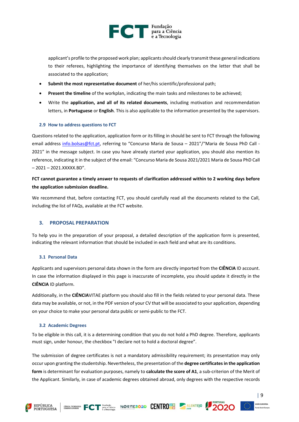

applicant's profile to the proposed work plan; applicants should clearly transmit these general indications to their referees, highlighting the importance of identifying themselves on the letter that shall be associated to the application;

- **Submit the most representative document** of her/his scientific/professional path;
- **Present the timeline** of the workplan, indicating the main tasks and milestones to be achieved;
- Write the **application, and all of its related documents**, including motivation and recommendation letters, in **Portuguese** or **English**. This is also applicable to the information presented by the supervisors.

#### <span id="page-9-0"></span>**2.9 How to address questions to FCT**

Questions related to the application, application form or its filling in should be sent to FCT through the following email address [info.bolsas@fct.pt,](mailto:info.bolsas@fct.pt) referring to "Concurso Maria de Sousa - 2021"/"Maria de Sousa PhD Call -2021" in the message subject. In case you have already started your application, you should also mention its reference, indicating it in the subject of the email: "Concurso Maria de Sousa 2021/2021 Maria de Sousa PhD Call  $-2021 - 2021$ .XXXXX.BD".

#### **FCT cannot guarantee a timely answer to requests of clarification addressed within to 2 working days before the application submission deadline.**

We recommend that, before contacting FCT, you should carefully read all the documents related to the Call, including the list of FAQs, available at the FCT website.

#### <span id="page-9-1"></span>**3. PROPOSAL PREPARATION**

To help you in the preparation of your proposal, a detailed description of the application form is presented, indicating the relevant information that should be included in each field and what are its conditions.

#### <span id="page-9-2"></span>**3.1 Personal Data**

Applicants and supervisors personal data shown in the form are directly imported from the **CIÊNCIA** ID account. In case the information displayed in this page is inaccurate of incomplete, you should update it directly in the **CIÊNCIA** ID platform.

Additionally, in the **CIÊNCIA**VITAE platform you should also fill in the fields related to your personal data. These data may be available, or not, in the PDF version of your CV that will be associated to your application, depending on your choice to make your personal data public or semi-public to the FCT.

#### <span id="page-9-3"></span>**3.2 Academic Degrees**

To be eligible in this call, it is a determining condition that you do not hold a PhD degree. Therefore, applicants must sign, under honour, the checkbox "I declare not to hold a doctoral degree".

The submission of degree certificates is not a mandatory admissibility requirement; its presentation may only occur upon granting the studentship. Nevertheless, the presentation of the **degree certificates in the application form** is determinant for evaluation purposes, namely to **calculate the score of A1**, a sub-criterion of the Merit of the Applicant. Similarly, in case of academic degrees obtained abroad, only degrees with the respective records









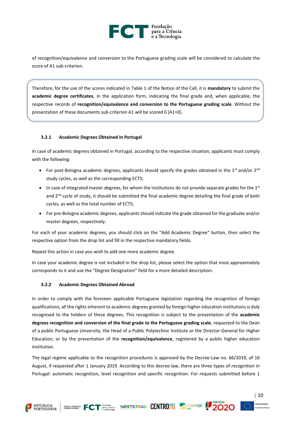

of recognition/equivalence and conversion to the Portuguese grading scale will be considered to calculate the score of A1 sub-criterion.

Therefore, for the use of the scores indicated in Table 1 of the Notice of the Call, it is **mandatory** to submit the **academic degree certificates**, in the application form, indicating the final grade and, when applicable, the respective records of **recognition/equivalence and conversion to the Portuguese grading scale**. Without the presentation of these documents sub-criterion A1 will be scored 0 (A1=0).

#### <span id="page-10-0"></span>**3.2.1 Academic Degrees Obtained in Portugal**

In case of academic degrees obtained in Portugal, according to the respective situation, applicants must comply with the following:

- For post-Bologna academic degrees, applicants should specify the grades obtained in the 1<sup>st</sup> and/or 2<sup>nd</sup> study cycles, as well as the corresponding ECTS;
- $\bullet$  In case of integrated master degrees, for whom the institutions do not provide separate grades for the 1st and 2<sup>nd</sup> cycle of study, it should be submitted the final academic degree detailing the final grade of both cycles, as well as the total number of ECTS;
- For pre-Bologna academic degrees, applicants should indicate the grade obtained for the graduate and/or master degrees, respectively.

For each of your academic degrees, you should click on the "Add Academic Degree" button, then select the respective option from the drop list and fill in the respective mandatory fields.

Repeat this action in case you wish to add one more academic degree.

In case your academic degree is not included in the drop list, please select the option that most approximately corresponds to it and use the "Degree Designation" field for a more detailed description.

#### <span id="page-10-1"></span>**3.2.2 Academic Degrees Obtained Abroad**

In order to comply with the foreseen applicable Portuguese legislation regarding the recognition of foreign qualifications, all the rights inherent to academic degrees granted by foreign higher education institutions is duly recognised to the holders of these degrees. This recognition is subject to the presentation of the **academic degrees recognition and conversion of the final grade to the Portuguese grading scale**, requested to the Dean of a public Portuguese University, the Head of a Public Polytechnic Institute or the Director-General for Higher Education; or by the presentation of the **recognition/equivalence**, registered by a public higher education institution.

The legal regime applicable to the recognition procedures is approved by the Decree-Law no. 66/2018, of 16 August, if requested after 1 January 2019. According to this decree-law, there are three types of recognition in Portugal: automatic recognition, level recognition and specific recognition. For requests submitted before 1







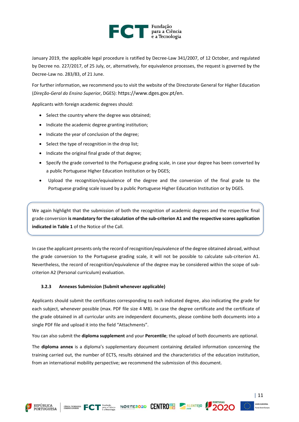

January 2019, the applicable legal procedure is ratified by Decree-Law 341/2007, of 12 October, and regulated by Decree no. 227/2017, of 25 July, or, alternatively, for equivalence processes, the request is governed by the Decree-Law no. 283/83, of 21 June.

For further information, we recommend you to visit the website of the Directorate General for Higher Education (*Direção-Geral do Ensino Superior*, DGES): https://www.dges.gov.pt/en.

Applicants with foreign academic degrees should:

- Select the country where the degree was obtained;
- Indicate the academic degree granting institution;
- Indicate the year of conclusion of the degree;
- Select the type of recognition in the drop list;
- Indicate the original final grade of that degree;
- Specify the grade converted to the Portuguese grading scale, in case your degree has been converted by a public Portuguese Higher Education Institution or by DGES;
- Upload the recognition/equivalence of the degree and the conversion of the final grade to the Portuguese grading scale issued by a public Portuguese Higher Education Institution or by DGES.

We again highlight that the submission of both the recognition of academic degrees and the respective final grade conversion **is mandatory for the calculation of the sub-criterion A1 and the respective scores application indicated in Table 1** of the Notice of the Call.

In case the applicant presents only the record of recognition/equivalence of the degree obtained abroad, without the grade conversion to the Portuguese grading scale, it will not be possible to calculate sub-criterion A1. Nevertheless, the record of recognition/equivalence of the degree may be considered within the scope of subcriterion A2 (Personal curriculum) evaluation.

#### <span id="page-11-0"></span>**3.2.3 Annexes Submission (Submit whenever applicable)**

Applicants should submit the certificates corresponding to each indicated degree, also indicating the grade for each subject, whenever possible (max. PDF file size 4 MB). In case the degree certificate and the certificate of the grade obtained in all curricular units are independent documents, please combine both documents into a single PDF file and upload it into the field "Attachments".

You can also submit the **diploma supplement** and your **Percentile**; the upload of both documents are optional.

The **diploma annex** is a diploma's supplementary document containing detailed information concerning the training carried out, the number of ECTS, results obtained and the characteristics of the education institution, from an international mobility perspective; we recommend the submission of this document.

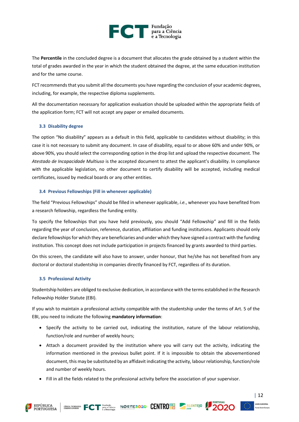

The **Percentile** in the concluded degree is a document that allocates the grade obtained by a student within the total of grades awarded in the year in which the student obtained the degree, at the same education institution and for the same course.

FCT recommends that you submit all the documents you have regarding the conclusion of your academic degrees, including, for example, the respective diploma supplements.

All the documentation necessary for application evaluation should be uploaded within the appropriate fields of the application form; FCT will not accept any paper or emailed documents.

#### <span id="page-12-0"></span>**3.3 Disability degree**

The option "No disability" appears as a default in this field, applicable to candidates without disability; in this case it is not necessary to submit any document. In case of disability, equal to or above 60% and under 90%, or above 90%, you should select the corresponding option in the drop list and upload the respective document. The *Atestado de Incapacidade Multiuso* is the accepted document to attest the applicant's disability. In compliance with the applicable legislation, no other document to certify disability will be accepted, including medical certificates, issued by medical boards or any other entities.

#### <span id="page-12-1"></span>**3.4 Previous Fellowships (Fill in whenever applicable)**

The field "Previous Fellowships" should be filled in whenever applicable, *i.e.*, whenever you have benefited from a research fellowship, regardless the funding entity.

To specify the fellowships that you have held previously, you should "Add Fellowship" and fill in the fields regarding the year of conclusion, reference, duration, affiliation and funding institutions. Applicants should only declare fellowships for which they are beneficiaries and under which they have signed a contract with the funding institution. This concept does not include participation in projects financed by grants awarded to third parties.

On this screen, the candidate will also have to answer, under honour, that he/she has not benefited from any doctoral or doctoral studentship in companies directly financed by FCT, regardless of its duration.

#### <span id="page-12-2"></span>**3.5 Professional Activity**

Studentship holders are obliged to exclusive dedication, in accordance with the terms established in the Research Fellowship Holder Statute (EBI).

If you wish to maintain a professional activity compatible with the studentship under the terms of Art. 5 of the EBI, you need to indicate the following **mandatory information**:

- Specify the activity to be carried out, indicating the institution, nature of the labour relationship, function/role and number of weekly hours;
- Attach a document provided by the institution where you will carry out the activity, indicating the information mentioned in the previous bullet point. If it is impossible to obtain the abovementioned document, this may be substituted by an affidavit indicating the activity, labour relationship, function/role and number of weekly hours.
- Fill in all the fields related to the professional activity before the association of your supervisor.





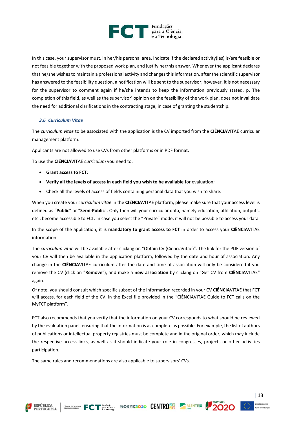

In this case, your supervisor must, in her/his personal area, indicate if the declared activity(ies) is/are feasible or not feasible together with the proposed work plan, and justify her/his answer. Whenever the applicant declares that he/she wishes to maintain a professional activity and changes this information, after the scientific supervisor has answered to the feasibility question, a notification will be sent to the supervisor; however, it is not necessary for the supervisor to comment again if he/she intends to keep the information previously stated. p. The completion of this field, as well as the supervisor' opinion on the feasibility of the work plan, does not invalidate the need for additional clarifications in the contracting stage, in case of granting the studentship.

#### <span id="page-13-0"></span>*3.6 Curriculum Vitae*

The *curriculum vitae* to be associated with the application is the CV imported from the **CIÊNCIA**VITAE curricular management platform.

Applicants are not allowed to use CVs from other platforms or in PDF format.

To use the **CIÊNCIA**VITAE *curriculum* you need to:

- **Grant access to FCT**;
- **Verify all the levels of access in each field you wish to be available** for evaluation;
- Check all the levels of access of fields containing personal data that you wish to share.

When you create your *curriculum vitae* in the **CIÊNCIA**VITAE platform, please make sure that your access level is defined as "**Public**" or "**Semi-Public**". Only then will your curricular data, namely education, affiliation, outputs, etc., become accessible to FCT. In case you select the "Private" mode, it will not be possible to access your data.

In the scope of the application, it **is mandatory to grant access to FCT** in order to access your **CIÊNCIA**VITAE information.

The *curriculum vitae* will be available after clicking on "Obtain CV (CienciaVitae)". The link for the PDF version of your CV will then be available in the application platform, followed by the date and hour of association. Any change in the **CIÊNCIA**VITAE curriculum after the date and time of association will only be considered if you remove the CV (click on "**Remove**"), and make a **new association** by clicking on "Get CV from **CIÊNCIA**VITAE" again.

Of note, you should consult which specific subset of the information recorded in your CV **CIÊNCIA**VITAE that FCT will access, for each field of the CV, in the Excel file provided in the "CIÊNCIAVITAE Guide to FCT calls on the MyFCT platform".

FCT also recommends that you verify that the information on your CV corresponds to what should be reviewed by the evaluation panel, ensuring that the information is as complete as possible. For example, the list of authors of publications or intellectual property registries must be complete and in the original order, which may include the respective access links, as well as it should indicate your role in congresses, projects or other activities participation.

The same rules and recommendations are also applicable to supervisors' CVs.







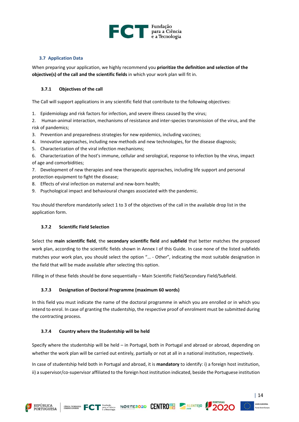

#### <span id="page-14-0"></span>**3.7 Application Data**

When preparing your application, we highly recommend you **prioritize the definition and selection of the objective(s) of the call and the scientific fields** in which your work plan will fit in.

#### <span id="page-14-1"></span>**3.7.1 Objectives of the call**

The Call will support applications in any scientific field that contribute to the following objectives:

1. Epidemiology and risk factors for infection, and severe illness caused by the virus;

2. Human-animal interaction, mechanisms of resistance and inter-species transmission of the virus, and the risk of pandemics;

- 3. Prevention and preparedness strategies for new epidemics, including vaccines;
- 4. Innovative approaches, including new methods and new technologies, for the disease diagnosis;
- 5. Characterization of the viral infection mechanisms;

6. Characterization of the host's immune, cellular and serological, response to infection by the virus, impact of age and comorbidities;

7. Development of new therapies and new therapeutic approaches, including life support and personal protection equipment to fight the disease;

- 8. Effects of viral infection on maternal and new-born health;
- 9. Psychological impact and behavioural changes associated with the pandemic.

You should therefore mandatorily select 1 to 3 of the objectives of the call in the available drop list in the application form.

#### <span id="page-14-2"></span>**3.7.2 Scientific Field Selection**

Select the **main scientific field**, the **secondary scientific field** and **subfield** that better matches the proposed work plan, according to the scientific fields shown in Annex I of this Guide. In case none of the listed subfields matches your work plan, you should select the option "… - Other", indicating the most suitable designation in the field that will be made available after selecting this option.

<span id="page-14-3"></span>Filling in of these fields should be done sequentially – Main Scientific Field/Secondary Field/Subfield.

#### **3.7.3 Designation of Doctoral Programme (maximum 60 words)**

In this field you must indicate the name of the doctoral programme in which you are enrolled or in which you intend to enrol. In case of granting the studentship, the respective proof of enrolment must be submitted during the contracting process.

#### <span id="page-14-4"></span>**3.7.4 Country where the Studentship will be held**

Specify where the studentship will be held – in Portugal, both in Portugal and abroad or abroad, depending on whether the work plan will be carried out entirely, partially or not at all in a national institution, respectively.

In case of studentship held both in Portugal and abroad, it is **mandatory** to identify: i) a foreign host institution, ii) a supervisor/co-supervisor affiliated to the foreign host institution indicated, beside the Portuguese institution



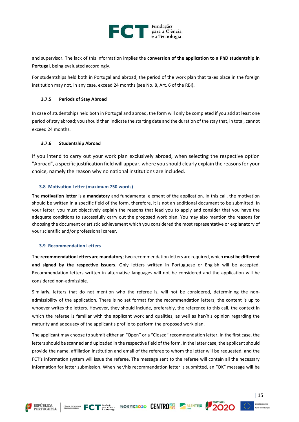

and supervisor. The lack of this information implies the **conversion of the application to a PhD studentship in Portugal**, being evaluated accordingly.

For studentships held both in Portugal and abroad, the period of the work plan that takes place in the foreign institution may not, in any case, exceed 24 months (see No. 8, Art. 6 of the RBI).

#### <span id="page-15-0"></span>**3.7.5 Periods of Stay Abroad**

In case of studentships held both in Portugal and abroad, the form will only be completed if you add at least one period of stay abroad; you should then indicate the starting date and the duration of the stay that, in total, cannot exceed 24 months.

#### <span id="page-15-1"></span>**3.7.6 Studentship Abroad**

If you intend to carry out your work plan exclusively abroad, when selecting the respective option "Abroad", a specific justification field will appear, where you should clearly explain the reasons for your choice, namely the reason why no national institutions are included.

#### <span id="page-15-2"></span>**3.8 Motivation Letter (maximum 750 words)**

The **motivation letter** is a **mandatory** and fundamental element of the application. In this call, the motivation should be written in a specific field of the form, therefore, it is not an additional document to be submitted. In your letter, you must objectively explain the reasons that lead you to apply and consider that you have the adequate conditions to successfully carry out the proposed work plan. You may also mention the reasons for choosing the document or artistic achievement which you considered the most representative or explanatory of your scientific and/or professional career.

#### <span id="page-15-3"></span>**3.9 Recommendation Letters**

The **recommendation letters are mandatory**; two recommendation letters are required, which **must be different and signed by the respective issuers**. Only letters written in Portuguese or English will be accepted. Recommendation letters written in alternative languages will not be considered and the application will be considered non-admissible.

Similarly, letters that do not mention who the referee is, will not be considered, determining the nonadmissibility of the application. There is no set format for the recommendation letters; the content is up to whoever writes the letters. However, they should include, preferably, the reference to this call, the context in which the referee is familiar with the applicant work and qualities, as well as her/his opinion regarding the maturity and adequacy of the applicant's profile to perform the proposed work plan.

The applicant may choose to submit either an "Open" or a "Closed" recommendation letter. In the first case, the letters should be scanned and uploaded in the respective field of the form. In the latter case, the applicant should provide the name, affiliation institution and email of the referee to whom the letter will be requested, and the FCT's information system will issue the referee. The message sent to the referee will contain all the necessary information for letter submission. When her/his recommendation letter is submitted, an "OK" message will be







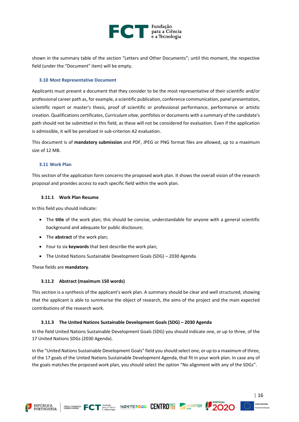

shown in the summary table of the section "Letters and Other Documents"; until this moment, the respective field (under the "Document" item) will be empty.

#### <span id="page-16-0"></span>**3.10 Most Representative Document**

Applicants must present a document that they consider to be the most representative of their scientific and/or professional career path as, for example, a scientific publication, conference communication, panel presentation, scientific report or master's thesis, proof of scientific or professional performance, performance or artistic creation. Qualifications certificates, *Curriculum vitae*, portfolios or documents with a summary of the candidate's path should not be submitted in this field, as these will not be considered for evaluation. Even if the application is admissible, it will be penalized in sub-criterion A2 evaluation.

This document is of **mandatory submission** and PDF, JPEG or PNG format files are allowed, up to a maximum size of 12 MB.

#### <span id="page-16-1"></span>**3.11 Work Plan**

This section of the application form concerns the proposed work plan. It shows the overall vision of the research proposal and provides access to each specific field within the work plan.

#### <span id="page-16-2"></span>**3.11.1 Work Plan Resume**

In this field you should indicate:

- The **title** of the work plan; this should be concise, understandable for anyone with a general scientific background and adequate for public disclosure;
- The **abstract** of the work plan;
- Four to six **keywords** that best describe the work plan;
- The United Nations Sustainable Development Goals (SDG) 2030 Agenda.

#### <span id="page-16-3"></span>These fields are **mandatory**.

#### **3.11.2 Abstract (maximum 150 words)**

This section is a synthesis of the applicant's work plan. A summary should be clear and well structured, showing that the applicant is able to summarise the object of research, the aims of the project and the main expected contributions of the research work.

#### <span id="page-16-4"></span>**3.11.3 The United Nations Sustainable Development Goals (SDG) – 2030 Agenda**

In the field United Nations Sustainable Development Goals (SDG) you should indicate one, or up to three, of the 17 United Nations SDGs (2030 Agenda).

In the "United Nations Sustainable Development Goals" field you should select one, or up to a maximum of three, of the 17 goals of the United Nations Sustainable Development Agenda, that fit in your work plan. In case any of the goals matches the proposed work plan, you should select the option "No alignment with any of the SDGs".



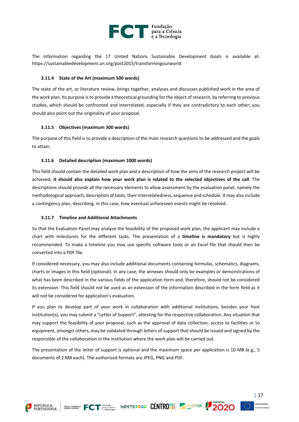

The information regarding the 17 United Nations Sustainable Development Goals is available at: https://sustainabledevelopment.un.org/post2015/transformingourworld.

#### <span id="page-17-0"></span>**3.11.4 State of the Art (maximum 500 words)**

The state of the art, or literature review, brings together, analyses and discusses published work in the area of the work plan. Its purpose is to provide a theoretical grounding for the object of research, by referring to previous studies, which should be confronted and interrelated, especially if they are contradictory to each other; you should also point out the originality of your proposal.

#### <span id="page-17-1"></span>**3.11.5 Objectives (maximum 300 words)**

The purpose of this field is to provide a description of the main research questions to be addressed and the goals to attain.

#### <span id="page-17-2"></span>**3.11.6 Detailed description (maximum 1000 words)**

This field should contain the detailed work plan and a description of how the aims of the research project will be achieved; **it should also explain how your work plan is related to the selected objectives of the call**. The descriptions should provide all the necessary elements to allow assessment by the evaluation panel, namely the methodological approach, description of tasks, their interrelatedness, sequence and schedule. It may also include a contingency plan, describing, in this case, how eventual unforeseen events might be resolved.

#### <span id="page-17-3"></span>**3.11.7 Timeline and Additional Attachments**

So that the Evaluation Panel may analyse the feasibility of the proposed work plan, the applicant may include a chart with milestones for the different tasks. The presentation of a **timeline is mandatory** but is highly recommended. To make a timeline you may use specific software tools or an Excel file that should then be converted into a PDF file.

If considered necessary, you may also include additional documents containing formulas, schematics, diagrams, charts or images in this field (optional). In any case, the annexes should only be examples or demonstrations of what has been described in the various fields of the application form and, therefore, should not be considered its extension. This field should not be used as an extension of the information described in the form field as it will not be considered for application's evaluation.

If you plan to develop part of your work in collaboration with additional institutions, besides your host institution(s), you may submit a "Letter of Support", attesting for the respective collaboration. Any situation that may support the feasibility of your proposal, such as the approval of data collection, access to facilities or to equipment, amongst others, may be validated through letters of support that should be issued and signed by the responsible of the collaboration in the institution where the work plan will be carried out.

The presentation of the letter of support is optional and the maximum space per application is 10 MB (e.g., 5 documents of 2 MB each). The authorised formats are JPEG, PNG and PDF.

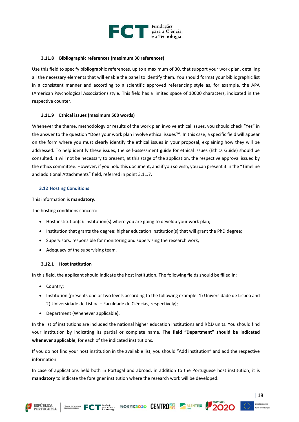

#### <span id="page-18-0"></span>**3.11.8 Bibliographic references (maximum 30 references)**

Use this field to specify bibliographic references, up to a maximum of 30, that support your work plan, detailing all the necessary elements that will enable the panel to identify them. You should format your bibliographic list in a consistent manner and according to a scientific approved referencing style as, for example, the APA (American Psychological Association) style. This field has a limited space of 10000 characters, indicated in the respective counter.

#### <span id="page-18-1"></span>**3.11.9 Ethical issues (maximum 500 words)**

Whenever the theme, methodology or results of the work plan involve ethical issues, you should check "Yes" in the answer to the question "Does your work plan involve ethical issues?". In this case, a specific field will appear on the form where you must clearly identify the ethical issues in your proposal, explaining how they will be addressed. To help identify these issues, the self-assessment guide for ethical issues (Ethics Guide) should be consulted. It will not be necessary to present, at this stage of the application, the respective approval issued by the ethics committee. However, if you hold this document, and if you so wish, you can present it in the "Timeline and additional Attachments" field, referred in point 3.11.7.

#### <span id="page-18-2"></span>**3.12 Hosting Conditions**

This information is **mandatory**.

The hosting conditions concern:

- Host institution(s): institution(s) where you are going to develop your work plan;
- Institution that grants the degree: higher education institution(s) that will grant the PhD degree;
- Supervisors: responsible for monitoring and supervising the research work;
- <span id="page-18-3"></span>• Adequacy of the supervising team.

#### **3.12.1 Host Institution**

In this field, the applicant should indicate the host institution. The following fields should be filled in:

- Country;
- Institution (presents one or two levels according to the following example: 1) Universidade de Lisboa and 2) Universidade de Lisboa – Faculdade de Ciências, respectively);
- Department (Whenever applicable).

In the list of institutions are included the national higher education institutions and R&D units. You should find your institution by indicating its partial or complete name. **The field "Department" should be indicated whenever applicable**, for each of the indicated institutions.

If you do not find your host institution in the available list, you should "Add institution" and add the respective information.

In case of applications held both in Portugal and abroad, in addition to the Portuguese host institution, it is **mandatory** to indicate the foreigner institution where the research work will be developed.

**CENTROGEN FCT ATRICOLOGICAL MORTE2020 CENTROGEN ALENTEJO** 



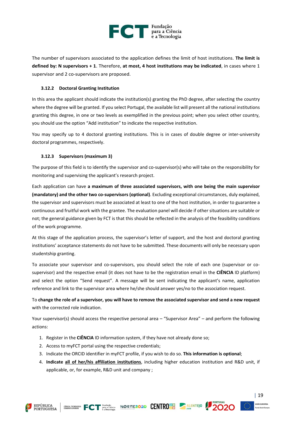

The number of supervisors associated to the application defines the limit of host institutions. **The limit is defined by: N supervisors + 1**. Therefore, **at most, 4 host institutions may be indicated**, in cases where 1 supervisor and 2 co-supervisors are proposed.

#### <span id="page-19-0"></span>**3.12.2 Doctoral Granting Institution**

In this area the applicant should indicate the institution(s) granting the PhD degree, after selecting the country where the degree will be granted. If you select Portugal, the available list will present all the national institutions granting this degree, in one or two levels as exemplified in the previous point; when you select other country, you should use the option "Add institution" to indicate the respective institution.

You may specify up to 4 doctoral granting institutions. This is in cases of double degree or inter-university doctoral programmes, respectively.

#### <span id="page-19-1"></span>**3.12.3 Supervisors (maximum 3)**

The purpose of this field is to identify the supervisor and co-supervisor(s) who will take on the responsibility for monitoring and supervising the applicant's research project.

Each application can have **a maximum of three associated supervisors, with one being the main supervisor (mandatory) and the other two co-supervisors (optional)**. Excluding exceptional circumstances, duly explained, the supervisor and supervisors must be associated at least to one of the host institution, in order to guarantee a continuous and fruitful work with the grantee. The evaluation panel will decide if other situations are suitable or not; the general guidance given by FCT is that this should be reflected in the analysis of the feasibility conditions of the work programme.

At this stage of the application process, the supervisor's letter of support, and the host and doctoral granting institutions' acceptance statements do not have to be submitted. These documents will only be necessary upon studentship granting.

To associate your supervisor and co-supervisors, you should select the role of each one (supervisor or cosupervisor) and the respective email (it does not have to be the registration email in the **CIÊNCIA** ID platform) and select the option "Send request". A message will be sent indicating the applicant's name, application reference and link to the supervisor area where he/she should answer yes/no to the association request.

To **change the role of a supervisor, you will have to remove the associated supervisor and send a new request** with the corrected role indication.

Your supervisor(s) should access the respective personal area – "Supervisor Area" – and perform the following actions:

- 1. Register in the **CIÊNCIA** ID information system, if they have not already done so;
- 2. Access to myFCT portal using the respective credentials;
- 3. Indicate the ORCID identifier in myFCT profile, if you wish to do so. **This information is optional**;
- 4. **Indicate all of her/his affiliation institutions**, including higher education institution and R&D unit, if applicable, or, for example, R&D unit and company ;







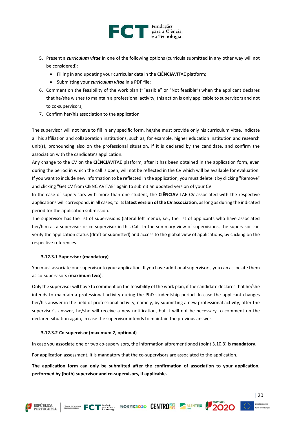

- 5. Present a *curriculum vitae* in one of the following options (curricula submitted in any other way will not be considered):
	- Filling in and updating your curricular data in the **CIÊNCIA**VITAE platform;
	- Submitting your *curriculum vitae* in a PDF file;
- 6. Comment on the feasibility of the work plan ("Feasible" or "Not feasible") when the applicant declares that he/she wishes to maintain a professional activity; this action is only applicable to supervisors and not to co-supervisors;
- 7. Confirm her/his association to the application.

The supervisor will not have to fill in any specific form, he/she must provide only his curriculum vitae, indicate all his affiliation and collaboration institutions, such as, for example, higher education institution and research unit(s), pronouncing also on the professional situation, if it is declared by the candidate, and confirm the association with the candidate's application.

Any change to the CV on the **CIÊNCIA**VITAE platform, after it has been obtained in the application form, even during the period in which the call is open, will not be reflected in the CV which will be available for evaluation. If you want to include new information to be reflected in the application, you must delete it by clicking "Remove" and clicking "Get CV from CIÊNCIAVITAE" again to submit an updated version of your CV.

In the case of supervisors with more than one student, the **CIÊNCIA**VITAE CV associated with the respective applications will correspond, in all cases, to its**latest version of the CV association**, as long as during the indicated period for the application submission.

The supervisor has the list of supervisions (lateral left menu), *i.e.*, the list of applicants who have associated her/him as a supervisor or co-supervisor in this Call. In the summary view of supervisions, the supervisor can verify the application status (draft or submitted) and access to the global view of applications, by clicking on the respective references.

#### <span id="page-20-0"></span>**3.12.3.1 Supervisor (mandatory)**

You must associate one supervisor to your application. If you have additional supervisors, you can associate them as co-supervisors (**maximum two**).

Only the supervisor will have to comment on the feasibility of the work plan, if the candidate declares that he/she intends to maintain a professional activity during the PhD studentship period. In case the applicant changes her/his answer in the field of professional activity, namely, by submitting a new professional activity, after the supervisor's answer, he/she will receive a new notification, but it will not be necessary to comment on the declared situation again, in case the supervisor intends to maintain the previous answer.

#### <span id="page-20-1"></span>**3.12.3.2 Co-supervisor (maximum 2, optional)**

In case you associate one or two co-supervisors, the information aforementioned (point 3.10.3) is **mandatory**.

For application assessment, it is mandatory that the co-supervisors are associated to the application.

**The application form can only be submitted after the confirmation of association to your application, performed by (both) supervisor and co-supervisors, if applicable.**

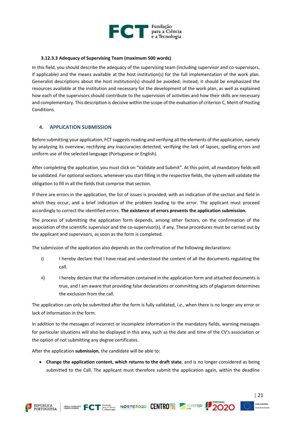

#### <span id="page-21-0"></span>**3.12.3.3 Adequacy of Supervising Team (maximum 500 words)**

In this field, you should describe the adequacy of the supervising team (including supervisor and co-supervisors, if applicable) and the means available at the host institution(s) for the full implementation of the work plan. Generalist descriptions about the host institution(s) should be avoided; instead, it should be emphasized the resources available at the institution and necessary for the development of the work plan, as well as explained how each of the supervisors should contribute to the supervision of activities and how their skills are necessary and complementary. This description is decisive within the scope of the evaluation of criterion C, Merit of Hosting Conditions.

#### <span id="page-21-1"></span>**4. APPLICATION SUBMISSION**

Before submitting your application, FCT suggests reading and verifying all the elements of the application, namely by analysing its overview, rectifying any inaccuracies detected, verifying the lack of lapses, spelling errors and uniform use of the selected language (Portuguese or English).

After completing the application, you must click on "Validate and Submit". At this point, all mandatory fields will be validated. For optional sections, whenever you start filling in the respective fields, the system will validate the obligation to fill in all the fields that comprise that section.

If there are errors in the application, the list of issues is provided, with an indication of the section and field in which they occur, and a brief indication of the problem leading to the error. The applicant must proceed accordingly to correct the identified errors. **The existence of errors prevents the application submission.**

The process of submitting the application form depends, among other factors, on the confirmation of the association of the scientific supervisor and the co-supervisor(s), if any. These procedures must be carried out by the applicant and supervisors, as soon as the form is completed.

The submission of the application also depends on the confirmation of the following declarations:

- i) I hereby declare that I have read and understood the content of all the documents regulating the call.
- ii) I hereby declare that the information contained in the application form and attached documents is true, and I am aware that providing false declarations or committing acts of plagiarism determines the exclusion from the call.

The application can only be submitted after the form is fully validated, *i.e.*, when there is no longer any error or lack of information in the form.

In addition to the messages of incorrect or incomplete information in the mandatory fields, warning messages for particular situations will also be displayed in this area, such as the date and time of the CV's association or the option of not submitting any degree certificates.

After the application **submission**, the candidate will be able to:

• **Change the application content, which returns to the draft state**, and is no longer considered as being submitted to the Call. The applicant must therefore submit the application again, within the deadline







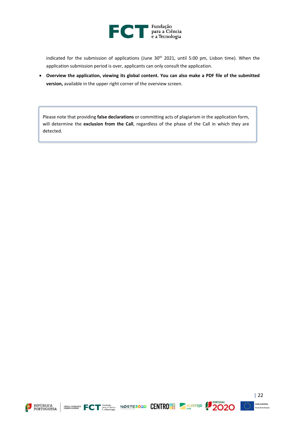

indicated for the submission of applications (June 30<sup>th</sup> 2021, until 5:00 pm, Lisbon time). When the application submission period is over, applicants can only consult the application.

• **Overview the application, viewing its global content. You can also make a PDF file of the submitted version,** available in the upper right corner of the overview screen.

Please note that providing **false declarations** or committing acts of plagiarism in the application form, will determine the **exclusion from the Call**, regardless of the phase of the Call in which they are detected.









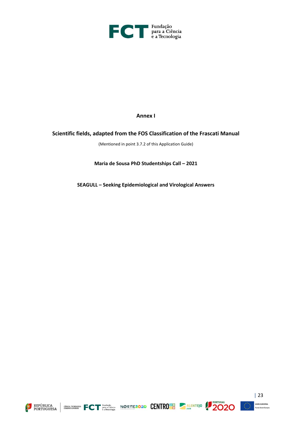

**Annex I**

#### **Scientific fields, adapted from the FOS Classification of the Frascati Manual**

(Mentioned in point 3.7.2 of this Application Guide)

**Maria de Sousa PhD Studentships Call – 2021**

**SEAGULL – Seeking Epidemiological and Virological Answers**











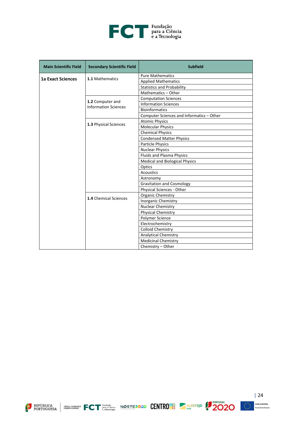

| <b>Main Scientific Field</b> | <b>Secondary Scientific Field</b> | <b>Subfield</b>                           |
|------------------------------|-----------------------------------|-------------------------------------------|
|                              | 1.1 Mathematics                   | <b>Pure Mathematics</b>                   |
| <b>1a Exact Sciences</b>     |                                   | <b>Applied Mathematics</b>                |
|                              |                                   | <b>Statistics and Probability</b>         |
|                              |                                   | Mathematics - Other                       |
|                              | 1.2 Computer and                  | <b>Computation Sciences</b>               |
|                              | <b>Information Sciences</b>       | <b>Information Sciences</b>               |
|                              |                                   | <b>Bioinformatics</b>                     |
|                              |                                   | Computer Sciences and Informatics - Other |
|                              | 1.3 Physical Sciences             | <b>Atomic Physics</b>                     |
|                              |                                   | <b>Molecular Physics</b>                  |
|                              |                                   | <b>Chemical Physics</b>                   |
|                              |                                   | <b>Condensed Matter Physics</b>           |
|                              |                                   | Particle Physics                          |
|                              |                                   | <b>Nuclear Physics</b>                    |
|                              |                                   | <b>Fluids and Plasma Physics</b>          |
|                              |                                   | <b>Medical and Biological Physics</b>     |
|                              |                                   | Optics                                    |
|                              |                                   | <b>Acoustics</b>                          |
|                              |                                   | Astronomy                                 |
|                              |                                   | <b>Gravitation and Cosmology</b>          |
|                              |                                   | Physical Sciences - Other                 |
|                              | <b>1.4 Chemical Sciences</b>      | <b>Organic Chemistry</b>                  |
|                              |                                   | <b>Inorganic Chemistry</b>                |
|                              |                                   | Nuclear Chemistry                         |
|                              |                                   | <b>Physical Chemistry</b>                 |
|                              |                                   | Polymer Science                           |
|                              |                                   | Electrochemistry                          |
|                              |                                   | <b>Colloid Chemistry</b>                  |
|                              |                                   | <b>Analytical Chemistry</b>               |
|                              |                                   | <b>Medicinal Chemistry</b>                |
|                              |                                   | Chemistry - Other                         |







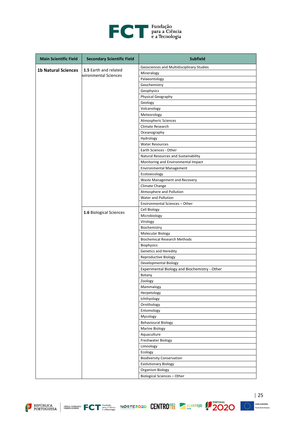

| <b>Main Scientific Field</b> | <b>Secondary Scientific Field</b>                     | <b>Subfield</b>                               |
|------------------------------|-------------------------------------------------------|-----------------------------------------------|
|                              |                                                       | Geosciences and Multidisciplinary Studies     |
| <b>1b Natural Sciences</b>   | 1.5 Earth and related<br><b>Ivironmental Sciences</b> | Mineralogy                                    |
|                              |                                                       | Palaeontology                                 |
|                              |                                                       | Geochemistry                                  |
|                              |                                                       | Geophysics                                    |
|                              |                                                       | Physical Geography                            |
|                              |                                                       | Geology                                       |
|                              |                                                       | Volcanology                                   |
|                              |                                                       | Meteorology                                   |
|                              |                                                       | Atmospheric Sciences                          |
|                              |                                                       | Climate Research                              |
|                              |                                                       | Oceanography                                  |
|                              |                                                       | Hydrology                                     |
|                              |                                                       | <b>Water Resources</b>                        |
|                              |                                                       | Earth Sciences - Other                        |
|                              |                                                       | Natural Resources and Sustainability          |
|                              |                                                       | Monitoring and Environmental Impact           |
|                              |                                                       | <b>Environmental Management</b>               |
|                              |                                                       | Ecotoxicology                                 |
|                              |                                                       | Waste Management and Recovery                 |
|                              |                                                       | Climate Change                                |
|                              |                                                       | Atmosphere and Pollution                      |
|                              |                                                       | <b>Water and Pollution</b>                    |
|                              |                                                       | Environmental Sciences - Other                |
|                              | 1.6 Biological Sciences                               | Cell Biology                                  |
|                              |                                                       | Microbiology                                  |
|                              |                                                       | Virology                                      |
|                              |                                                       | Biochemistry                                  |
|                              |                                                       | <b>Molecular Biology</b>                      |
|                              |                                                       | <b>Biochemical Research Methods</b>           |
|                              |                                                       | <b>Biophysics</b>                             |
|                              |                                                       | <b>Genetics and Heredity</b>                  |
|                              |                                                       | Reproductive Biology                          |
|                              |                                                       | Developmental Biology                         |
|                              |                                                       | Experimental Biology and Biochemistry - Other |
|                              |                                                       | Botany                                        |
|                              |                                                       | Zoology                                       |
|                              |                                                       | Mammalogy<br>Herpetology                      |
|                              |                                                       | Ichthyology                                   |
|                              |                                                       | Ornithology                                   |
|                              |                                                       | Entomology                                    |
|                              |                                                       | Mycology                                      |
|                              |                                                       | <b>Behavioural Biology</b>                    |
|                              |                                                       | <b>Marine Biology</b>                         |
|                              |                                                       | Aquaculture                                   |
|                              |                                                       | Freshwater Biology                            |
|                              |                                                       | Limnology                                     |
|                              |                                                       | Ecology                                       |
|                              |                                                       | <b>Biodiversity Conservation</b>              |
|                              |                                                       | <b>Evolutionary Biology</b>                   |
|                              |                                                       | Organism Biology                              |
|                              |                                                       | Biological Sciences - Other                   |
|                              |                                                       |                                               |









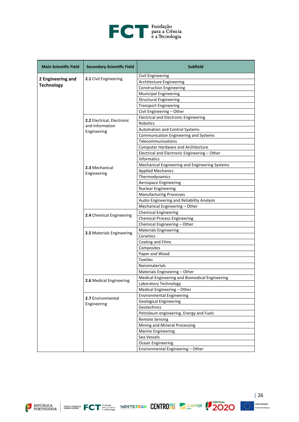

| <b>Main Scientific Field</b> | <b>Secondary Scientific Field</b>             | <b>Subfield</b>                                |
|------------------------------|-----------------------------------------------|------------------------------------------------|
|                              |                                               | Civil Engineering                              |
| 2 Engineering and            | 2.1 Civil Engineering                         | Architecture Engineering                       |
| <b>Technology</b>            |                                               | <b>Construction Engineering</b>                |
|                              |                                               | <b>Municipal Engineering</b>                   |
|                              |                                               | <b>Structural Engineering</b>                  |
|                              |                                               | <b>Transport Engineering</b>                   |
|                              |                                               | Civil Engineering - Other                      |
|                              |                                               | <b>Electrical and Electronic Engineering</b>   |
|                              | 2.2 Electrical, Electronic<br>and Information | Robotics                                       |
|                              | Engineering                                   | Automation and Control Systems                 |
|                              |                                               | Communication Engineering and Systems          |
|                              |                                               | Telecommunications                             |
|                              |                                               | <b>Computer Hardware and Architecture</b>      |
|                              |                                               | Electrical and Electronic Engineering - Other  |
|                              |                                               | Informatics                                    |
|                              |                                               | Mechanical Engineering and Engineering Systems |
|                              | 2.3 Mechanical                                | <b>Applied Mechanics</b>                       |
|                              | Engineering                                   | Thermodynamics                                 |
|                              |                                               | Aerospace Engineering                          |
|                              |                                               | <b>Nuclear Engineering</b>                     |
|                              |                                               | <b>Manufacturing Processes</b>                 |
|                              |                                               | Audio Engineering and Reliability Analysis     |
|                              |                                               | Mechanical Engineering - Other                 |
|                              |                                               | <b>Chemical Engineering</b>                    |
|                              | 2.4 Chemical Engineering                      | <b>Chemical Process Engineering</b>            |
|                              |                                               | Chemical Engineering - Other                   |
|                              | 2.5 Materials Engineering                     | <b>Materials Engineering</b>                   |
|                              |                                               | Ceramics                                       |
|                              |                                               | Coating and Films                              |
|                              |                                               | Composites                                     |
|                              |                                               | Paper and Wood                                 |
|                              |                                               | <b>Textiles</b>                                |
|                              |                                               | Nanomaterials                                  |
|                              |                                               | Materials Engineering - Other                  |
|                              | 2.6 Medical Engineering                       | Medical Engineering and Biomedical Engineering |
|                              |                                               | Laboratory Technology                          |
|                              |                                               | Medical Engineering - Other                    |
|                              | 2.7 Environmental                             | <b>Environmental Engineering</b>               |
|                              | Engineering                                   | <b>Geological Engineering</b>                  |
|                              |                                               | Geotechnics                                    |
|                              |                                               | Petroleum engineering, Energy and Fuels        |
|                              |                                               | <b>Remote Sensing</b>                          |
|                              |                                               | Mining and Mineral Processing                  |
|                              |                                               | <b>Marine Engineering</b>                      |
|                              |                                               | Sea Vessels                                    |
|                              |                                               | Ocean Engineering                              |
|                              |                                               | Environmental Engineering - Other              |









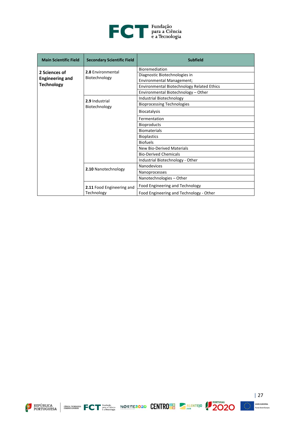

| <b>Main Scientific Field</b> | <b>Secondary Scientific Field</b> | <b>Subfield</b>                                   |
|------------------------------|-----------------------------------|---------------------------------------------------|
| 2 Sciences of                | 2.8 Environmental                 | <b>Bioremediation</b>                             |
|                              | Biotechnology                     | Diagnostic Biotechnologies in                     |
| <b>Engineering and</b>       |                                   | <b>Environmental Management;</b>                  |
| <b>Technology</b>            |                                   | <b>Environmental Biotechnology Related Ethics</b> |
|                              |                                   | Environmental Biotechnology - Other               |
|                              | 2.9 Industrial                    | Industrial Biotechnology                          |
|                              | Biotechnology                     | <b>Bioprocessing Technologies</b>                 |
|                              |                                   | <b>Biocatalysis</b>                               |
|                              |                                   | Fermentation                                      |
|                              |                                   | <b>Bioproducts</b>                                |
|                              |                                   | <b>Biomaterials</b>                               |
|                              |                                   | <b>Bioplastics</b>                                |
|                              |                                   | <b>Biofuels</b>                                   |
|                              |                                   | <b>New Bio-Derived Materials</b>                  |
|                              |                                   | <b>Bio-Derived Chemicals</b>                      |
|                              |                                   | Industrial Biotechnology - Other                  |
|                              |                                   | <b>Nanodevices</b>                                |
|                              | 2.10 Nanotechnology               | Nanoprocesses                                     |
|                              |                                   | Nanotechnologies - Other                          |
|                              | 2.11 Food Engineering and         | Food Engineering and Technology                   |
|                              | Technology                        | Food Engineering and Technology - Other           |





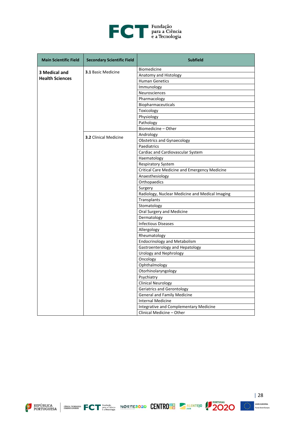

| <b>Main Scientific Field</b> | <b>Secondary Scientific Field</b> | <b>Subfield</b>                                      |
|------------------------------|-----------------------------------|------------------------------------------------------|
|                              |                                   | <b>Biomedicine</b>                                   |
| 3 Medical and                | <b>3.1 Basic Medicine</b>         | Anatomy and Histology                                |
| <b>Health Sciences</b>       |                                   | <b>Human Genetics</b>                                |
|                              |                                   | Immunology                                           |
|                              |                                   | Neurosciences                                        |
|                              |                                   | Pharmacology                                         |
|                              |                                   | Biopharmaceuticals                                   |
|                              |                                   | Toxicology                                           |
|                              |                                   | Physiology                                           |
|                              |                                   | Pathology                                            |
|                              |                                   | Biomedicine - Other                                  |
|                              | <b>3.2</b> Clinical Medicine      | Andrology                                            |
|                              |                                   | <b>Obstetrics and Gynaecology</b>                    |
|                              |                                   | Paediatrics                                          |
|                              |                                   | Cardiac and Cardiovascular System                    |
|                              |                                   | Haematology                                          |
|                              |                                   | <b>Respiratory System</b>                            |
|                              |                                   | <b>Critical Care Medicine and Emergency Medicine</b> |
|                              |                                   | Anaesthesiology                                      |
|                              |                                   | Orthopaedics                                         |
|                              |                                   | Surgery                                              |
|                              |                                   | Radiology, Nuclear Medicine and Medical Imaging      |
|                              |                                   | Transplants                                          |
|                              |                                   | Stomatology                                          |
|                              |                                   | Oral Surgery and Medicine                            |
|                              |                                   | Dermatology                                          |
|                              |                                   | <b>Infectious Diseases</b>                           |
|                              |                                   | Allergology                                          |
|                              |                                   | Rheumatology                                         |
|                              |                                   | <b>Endocrinology and Metabolism</b>                  |
|                              |                                   | Gastroenterology and Hepatology                      |
|                              |                                   | <b>Urology and Nephrology</b>                        |
|                              |                                   | Oncology                                             |
|                              |                                   | Ophthalmology                                        |
|                              |                                   | Otorhinolaryngology                                  |
|                              |                                   | Psychiatry                                           |
|                              |                                   | <b>Clinical Neurology</b>                            |
|                              |                                   | <b>Geriatrics and Gerontology</b>                    |
|                              |                                   | <b>General and Family Medicine</b>                   |
|                              |                                   | <b>Internal Medicine</b>                             |
|                              |                                   | <b>Integrative and Complementary Medicine</b>        |
|                              |                                   | Clinical Medicine - Other                            |







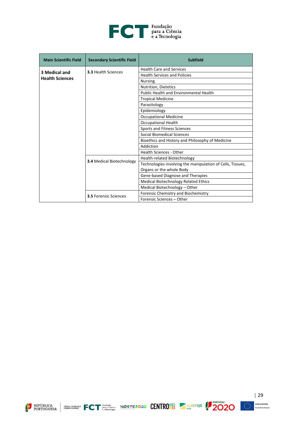

| <b>Main Scientific Field</b> | <b>Secondary Scientific Field</b> | <b>Subfield</b>                                            |
|------------------------------|-----------------------------------|------------------------------------------------------------|
|                              |                                   | <b>Health Care and Services</b>                            |
| 3 Medical and                | <b>3.3 Health Sciences</b>        | <b>Health Services and Policies</b>                        |
| <b>Health Sciences</b>       |                                   | <b>Nursing</b>                                             |
|                              |                                   | Nutrition, Dietetics                                       |
|                              |                                   | <b>Public Health and Environmental Health</b>              |
|                              |                                   | <b>Tropical Medicine</b>                                   |
|                              |                                   | Parasitology                                               |
|                              |                                   | Epidemiology                                               |
|                              |                                   | <b>Occupational Medicine</b>                               |
|                              |                                   | <b>Occupational Health</b>                                 |
|                              |                                   | Sports and Fitness Sciences                                |
|                              |                                   | Social Biomedical Sciences                                 |
|                              |                                   | Bioethics and History and Philosophy of Medicine           |
|                              |                                   | Addiction                                                  |
|                              |                                   | <b>Health Sciences - Other</b>                             |
|                              | 3.4 Medical Biotechnology         | Health-related Biotechnology                               |
|                              |                                   | Technologies involving the manipulation of Cells, Tissues, |
|                              |                                   | Organs or the whole Body                                   |
|                              |                                   | Gene-based Diagnose and Therapies                          |
|                              |                                   | Medical Biotechnology Related Ethics                       |
|                              |                                   | Medical Biotechnology - Other                              |
|                              | <b>3.5 Forensic Sciences</b>      | Forensic Chemistry and Biochemistry                        |
|                              |                                   | Forensic Sciences - Other                                  |







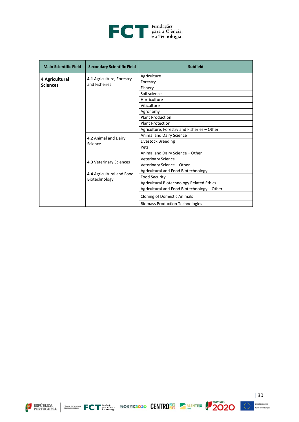

| <b>Main Scientific Field</b> | <b>Secondary Scientific Field</b> | <b>Subfield</b>                             |
|------------------------------|-----------------------------------|---------------------------------------------|
|                              | 4.1 Agriculture, Forestry         | Agriculture                                 |
| 4 Agricultural               | and Fisheries                     | Forestry                                    |
| <b>Sciences</b>              |                                   | Fishery                                     |
|                              |                                   | Soil science                                |
|                              |                                   | Horticulture                                |
|                              |                                   | Viticulture                                 |
|                              |                                   | Agronomy                                    |
|                              |                                   | <b>Plant Production</b>                     |
|                              |                                   | <b>Plant Protection</b>                     |
|                              |                                   | Agriculture, Forestry and Fisheries - Other |
|                              | 4.2 Animal and Dairy<br>Science   | Animal and Dairy Science                    |
|                              |                                   | Livestock Breeding                          |
|                              |                                   | Pets                                        |
|                              |                                   | Animal and Dairy Science - Other            |
|                              | 4.3 Veterinary Sciences           | <b>Veterinary Science</b>                   |
|                              |                                   | Veterinary Science - Other                  |
|                              | 4.4 Agricultural and Food         | Agricultural and Food Biotechnology         |
|                              | Biotechnology                     | <b>Food Security</b>                        |
|                              |                                   | Agricultural Biotechnology Related Ethics   |
|                              |                                   | Agricultural and Food Biotechnology - Other |
|                              |                                   | <b>Cloning of Domestic Animals</b>          |
|                              |                                   | <b>Biomass Production Technologies</b>      |





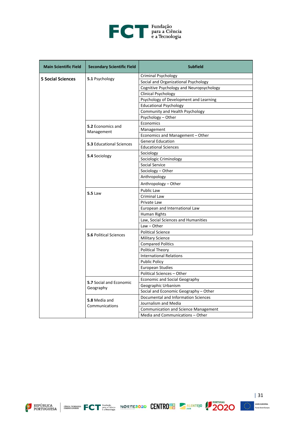

| <b>Main Scientific Field</b> | <b>Secondary Scientific Field</b> | <b>Subfield</b>                             |
|------------------------------|-----------------------------------|---------------------------------------------|
|                              |                                   | Criminal Psychology                         |
| <b>5 Social Sciences</b>     | 5.1 Psychology                    | Social and Organizational Psychology        |
|                              |                                   | Cognitive Psychology and Neuropsychology    |
|                              |                                   | <b>Clinical Psychology</b>                  |
|                              |                                   | Psychology of Development and Learning      |
|                              |                                   | <b>Educational Psychology</b>               |
|                              |                                   | Community and Health Psychology             |
|                              |                                   | Psychology - Other                          |
|                              |                                   | Economics                                   |
|                              | 5.2 Economics and<br>Management   | Management                                  |
|                              |                                   | Economics and Management - Other            |
|                              | <b>5.3 Educational Sciences</b>   | <b>General Education</b>                    |
|                              |                                   | <b>Educational Sciences</b>                 |
|                              | 5.4 Sociology                     | Sociology                                   |
|                              |                                   | Sociologic Criminology                      |
|                              |                                   | <b>Social Service</b>                       |
|                              |                                   | Sociology - Other                           |
|                              |                                   | Anthropology                                |
|                              |                                   | Anthropology - Other                        |
|                              | <b>5.5 Law</b>                    | <b>Public Law</b>                           |
|                              |                                   | Criminal Law                                |
|                              |                                   | Private Law                                 |
|                              |                                   | European and International Law              |
|                              |                                   | Human Rights                                |
|                              |                                   | Law, Social Sciences and Humanities         |
|                              |                                   | $Law - Other$                               |
|                              | <b>5.6 Political Sciences</b>     | <b>Political Science</b>                    |
|                              |                                   | <b>Military Science</b>                     |
|                              |                                   | <b>Compared Politics</b>                    |
|                              |                                   | Political Theory                            |
|                              |                                   | <b>International Relations</b>              |
|                              |                                   | <b>Public Policy</b>                        |
|                              |                                   | <b>European Studies</b>                     |
|                              |                                   | Political Sciences - Other                  |
|                              | <b>5.7 Social and Economic</b>    | <b>Economic and Social Geography</b>        |
|                              | Geography                         | Geographic Urbanism                         |
|                              |                                   | Social and Economic Geography - Other       |
|                              | 5.8 Media and<br>Communications   | Documental and Information Sciences         |
|                              |                                   | Journalism and Media                        |
|                              |                                   | <b>Communication and Science Management</b> |
|                              |                                   | Media and Communications - Other            |